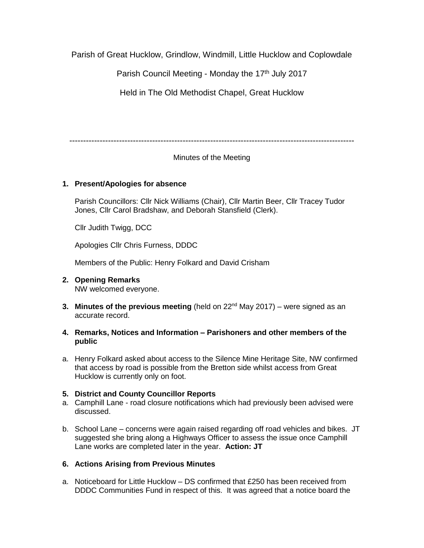Parish of Great Hucklow, Grindlow, Windmill, Little Hucklow and Coplowdale

Parish Council Meeting - Monday the 17<sup>th</sup> July 2017

Held in The Old Methodist Chapel, Great Hucklow

# Minutes of the Meeting

## **1. Present/Apologies for absence**

Parish Councillors: Cllr Nick Williams (Chair), Cllr Martin Beer, Cllr Tracey Tudor Jones, Cllr Carol Bradshaw, and Deborah Stansfield (Clerk).

Cllr Judith Twigg, DCC

Apologies Cllr Chris Furness, DDDC

Members of the Public: Henry Folkard and David Crisham

- **2. Opening Remarks** NW welcomed everyone.
- **3. Minutes of the previous meeting** (held on 22<sup>nd</sup> May 2017) were signed as an accurate record.
- **4. Remarks, Notices and Information – Parishoners and other members of the public**
- a. Henry Folkard asked about access to the Silence Mine Heritage Site, NW confirmed that access by road is possible from the Bretton side whilst access from Great Hucklow is currently only on foot.

# **5. District and County Councillor Reports**

- a. Camphill Lane road closure notifications which had previously been advised were discussed.
- b. School Lane concerns were again raised regarding off road vehicles and bikes. JT suggested she bring along a Highways Officer to assess the issue once Camphill Lane works are completed later in the year. **Action: JT**

# **6. Actions Arising from Previous Minutes**

a. Noticeboard for Little Hucklow – DS confirmed that £250 has been received from DDDC Communities Fund in respect of this. It was agreed that a notice board the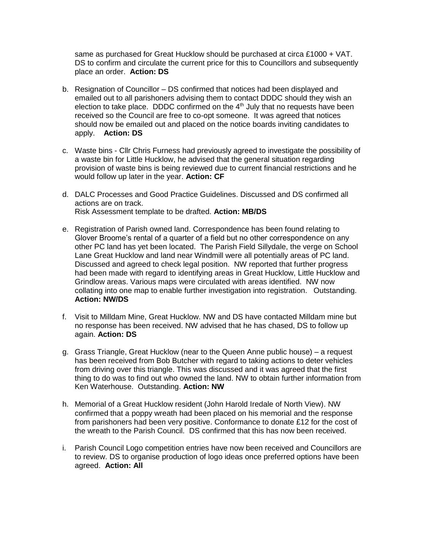same as purchased for Great Hucklow should be purchased at circa £1000 + VAT. DS to confirm and circulate the current price for this to Councillors and subsequently place an order. **Action: DS**

- b. Resignation of Councillor DS confirmed that notices had been displayed and emailed out to all parishoners advising them to contact DDDC should they wish an election to take place. DDDC confirmed on the  $4<sup>th</sup>$  July that no requests have been received so the Council are free to co-opt someone. It was agreed that notices should now be emailed out and placed on the notice boards inviting candidates to apply. **Action: DS**
- c. Waste bins Cllr Chris Furness had previously agreed to investigate the possibility of a waste bin for Little Hucklow, he advised that the general situation regarding provision of waste bins is being reviewed due to current financial restrictions and he would follow up later in the year. **Action: CF**
- d. DALC Processes and Good Practice Guidelines. Discussed and DS confirmed all actions are on track. Risk Assessment template to be drafted. **Action: MB/DS**
- e. Registration of Parish owned land. Correspondence has been found relating to Glover Broome's rental of a quarter of a field but no other correspondence on any other PC land has yet been located. The Parish Field Sillydale, the verge on School Lane Great Hucklow and land near Windmill were all potentially areas of PC land. Discussed and agreed to check legal position. NW reported that further progress had been made with regard to identifying areas in Great Hucklow, Little Hucklow and Grindlow areas. Various maps were circulated with areas identified. NW now collating into one map to enable further investigation into registration. Outstanding. **Action: NW/DS**
- f. Visit to Milldam Mine, Great Hucklow. NW and DS have contacted Milldam mine but no response has been received. NW advised that he has chased, DS to follow up again. **Action: DS**
- g. Grass Triangle, Great Hucklow (near to the Queen Anne public house) a request has been received from Bob Butcher with regard to taking actions to deter vehicles from driving over this triangle. This was discussed and it was agreed that the first thing to do was to find out who owned the land. NW to obtain further information from Ken Waterhouse. Outstanding. **Action: NW**
- h. Memorial of a Great Hucklow resident (John Harold Iredale of North View). NW confirmed that a poppy wreath had been placed on his memorial and the response from parishoners had been very positive. Conformance to donate £12 for the cost of the wreath to the Parish Council. DS confirmed that this has now been received.
- i. Parish Council Logo competition entries have now been received and Councillors are to review. DS to organise production of logo ideas once preferred options have been agreed. **Action: All**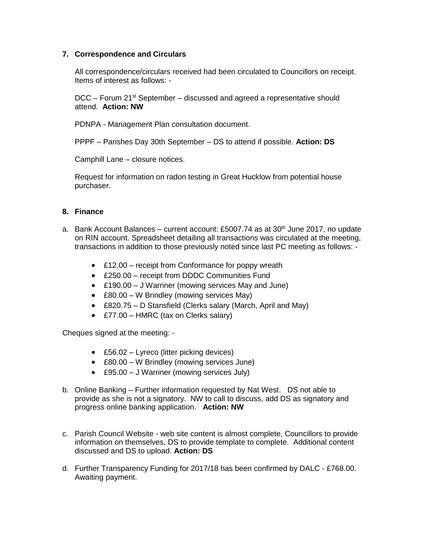### **7. Correspondence and Circulars**

All correspondence/circulars received had been circulated to Councillors on receipt. Items of interest as follows: -

DCC – Forum 21<sup>st</sup> September – discussed and agreed a representative should attend. **Action: NW**

PDNPA - Management Plan consultation document.

PPPF – Parishes Day 30th September – DS to attend if possible. **Action: DS**

Camphill Lane – closure notices.

Request for information on radon testing in Great Hucklow from potential house purchaser.

### **8. Finance**

- a. Bank Account Balances current account: £5007.74 as at  $30<sup>th</sup>$  June 2017, no update on RIN account. Spreadsheet detailing all transactions was circulated at the meeting, transactions in addition to those previously noted since last PC meeting as follows: -
	- £12.00 receipt from Conformance for poppy wreath
	- £250.00 receipt from DDDC Communities Fund
	- £190.00 J Warriner (mowing services May and June)
	- £80.00 W Brindley (mowing services May)
	- £820.75 D Stansfield (Clerks salary (March, April and May)
	- £77.00 HMRC (tax on Clerks salary)

Cheques signed at the meeting: -

- £56.02 Lyreco (litter picking devices)
- £80.00 W Brindley (mowing services June)
- £95.00 J Warriner (mowing services July)
- b. Online Banking Further information requested by Nat West. DS not able to provide as she is not a signatory. NW to call to discuss, add DS as signatory and progress online banking application. **Action: NW**
- c. Parish Council Website web site content is almost complete, Councillors to provide information on themselves, DS to provide template to complete. Additional content discussed and DS to upload. **Action: DS**
- d. Further Transparency Funding for 2017/18 has been confirmed by DALC £768.00. Awaiting payment.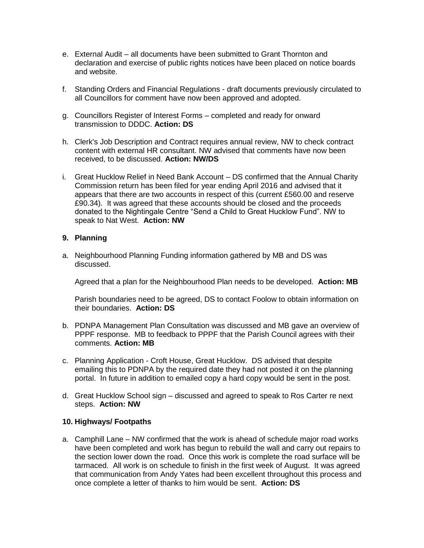- e. External Audit all documents have been submitted to Grant Thornton and declaration and exercise of public rights notices have been placed on notice boards and website.
- f. Standing Orders and Financial Regulations draft documents previously circulated to all Councillors for comment have now been approved and adopted.
- g. Councillors Register of Interest Forms completed and ready for onward transmission to DDDC. **Action: DS**
- h. Clerk's Job Description and Contract requires annual review, NW to check contract content with external HR consultant. NW advised that comments have now been received, to be discussed. **Action: NW/DS**
- i. Great Hucklow Relief in Need Bank Account DS confirmed that the Annual Charity Commission return has been filed for year ending April 2016 and advised that it appears that there are two accounts in respect of this (current £560.00 and reserve £90.34). It was agreed that these accounts should be closed and the proceeds donated to the Nightingale Centre "Send a Child to Great Hucklow Fund". NW to speak to Nat West. **Action: NW**

#### **9. Planning**

a. Neighbourhood Planning Funding information gathered by MB and DS was discussed.

Agreed that a plan for the Neighbourhood Plan needs to be developed. **Action: MB**

Parish boundaries need to be agreed, DS to contact Foolow to obtain information on their boundaries. **Action: DS**

- b. PDNPA Management Plan Consultation was discussed and MB gave an overview of PPPF response. MB to feedback to PPPF that the Parish Council agrees with their comments. **Action: MB**
- c. Planning Application Croft House, Great Hucklow. DS advised that despite emailing this to PDNPA by the required date they had not posted it on the planning portal. In future in addition to emailed copy a hard copy would be sent in the post.
- d. Great Hucklow School sign discussed and agreed to speak to Ros Carter re next steps. **Action: NW**

#### **10. Highways/ Footpaths**

a. Camphill Lane – NW confirmed that the work is ahead of schedule major road works have been completed and work has begun to rebuild the wall and carry out repairs to the section lower down the road. Once this work is complete the road surface will be tarmaced. All work is on schedule to finish in the first week of August. It was agreed that communication from Andy Yates had been excellent throughout this process and once complete a letter of thanks to him would be sent. **Action: DS**